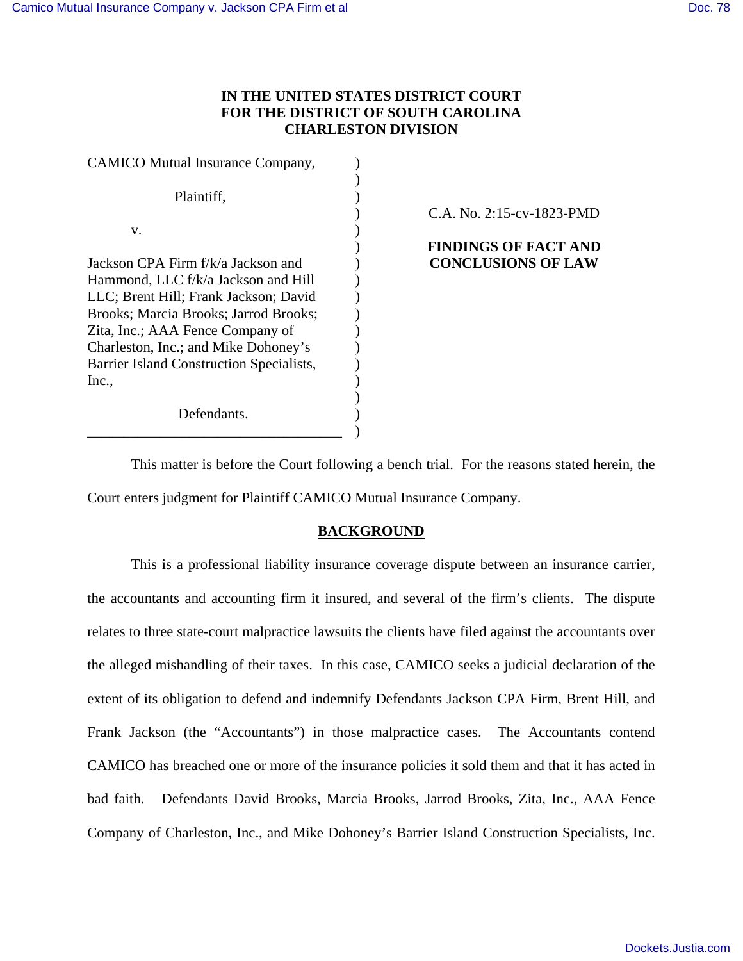# **IN THE UNITED STATES DISTRICT COURT FOR THE DISTRICT OF SOUTH CAROLINA CHARLESTON DIVISION**

| <b>CAMICO Mutual Insurance Company,</b>  |  |
|------------------------------------------|--|
|                                          |  |
| Plaintiff,                               |  |
|                                          |  |
| V.                                       |  |
|                                          |  |
| Jackson CPA Firm f/k/a Jackson and       |  |
| Hammond, LLC f/k/a Jackson and Hill      |  |
| LLC; Brent Hill; Frank Jackson; David    |  |
| Brooks; Marcia Brooks; Jarrod Brooks;    |  |
| Zita, Inc.; AAA Fence Company of         |  |
| Charleston, Inc.; and Mike Dohoney's     |  |
| Barrier Island Construction Specialists, |  |
| Inc.,                                    |  |
|                                          |  |
| Defendants.                              |  |

\_\_\_\_\_\_\_\_\_\_\_\_\_\_\_\_\_\_\_\_\_\_\_\_\_\_\_\_\_\_\_\_\_\_\_

C.A. No. 2:15-cv-1823-PMD

# **FINDINGS OF FACT AND CONCLUSIONS OF LAW**

This matter is before the Court following a bench trial. For the reasons stated herein, the Court enters judgment for Plaintiff CAMICO Mutual Insurance Company.

)

## **BACKGROUND**

This is a professional liability insurance coverage dispute between an insurance carrier, the accountants and accounting firm it insured, and several of the firm's clients. The dispute relates to three state-court malpractice lawsuits the clients have filed against the accountants over the alleged mishandling of their taxes. In this case, CAMICO seeks a judicial declaration of the extent of its obligation to defend and indemnify Defendants Jackson CPA Firm, Brent Hill, and Frank Jackson (the "Accountants") in those malpractice cases. The Accountants contend CAMICO has breached one or more of the insurance policies it sold them and that it has acted in bad faith. Defendants David Brooks, Marcia Brooks, Jarrod Brooks, Zita, Inc., AAA Fence Company of Charleston, Inc., and Mike Dohoney's Barrier Island Construction Specialists, Inc.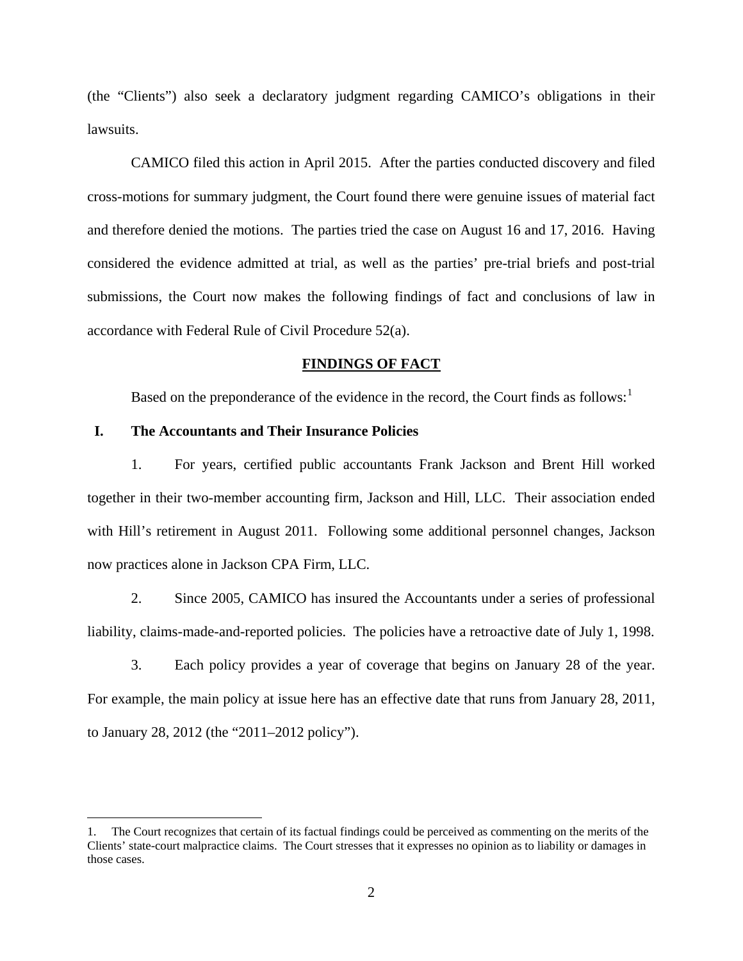(the "Clients") also seek a declaratory judgment regarding CAMICO's obligations in their lawsuits.

CAMICO filed this action in April 2015. After the parties conducted discovery and filed cross-motions for summary judgment, the Court found there were genuine issues of material fact and therefore denied the motions. The parties tried the case on August 16 and 17, 2016. Having considered the evidence admitted at trial, as well as the parties' pre-trial briefs and post-trial submissions, the Court now makes the following findings of fact and conclusions of law in accordance with Federal Rule of Civil Procedure 52(a).

#### **FINDINGS OF FACT**

Based on the preponderance of the evidence in the record, the Court finds as follows: $<sup>1</sup>$  $<sup>1</sup>$  $<sup>1</sup>$ </sup>

#### **I. The Accountants and Their Insurance Policies**

<u>.</u>

1. For years, certified public accountants Frank Jackson and Brent Hill worked together in their two-member accounting firm, Jackson and Hill, LLC. Their association ended with Hill's retirement in August 2011. Following some additional personnel changes, Jackson now practices alone in Jackson CPA Firm, LLC.

2. Since 2005, CAMICO has insured the Accountants under a series of professional liability, claims-made-and-reported policies. The policies have a retroactive date of July 1, 1998.

3. Each policy provides a year of coverage that begins on January 28 of the year. For example, the main policy at issue here has an effective date that runs from January 28, 2011, to January 28, 2012 (the "2011–2012 policy").

<span id="page-1-0"></span><sup>1.</sup> The Court recognizes that certain of its factual findings could be perceived as commenting on the merits of the Clients' state-court malpractice claims. The Court stresses that it expresses no opinion as to liability or damages in those cases.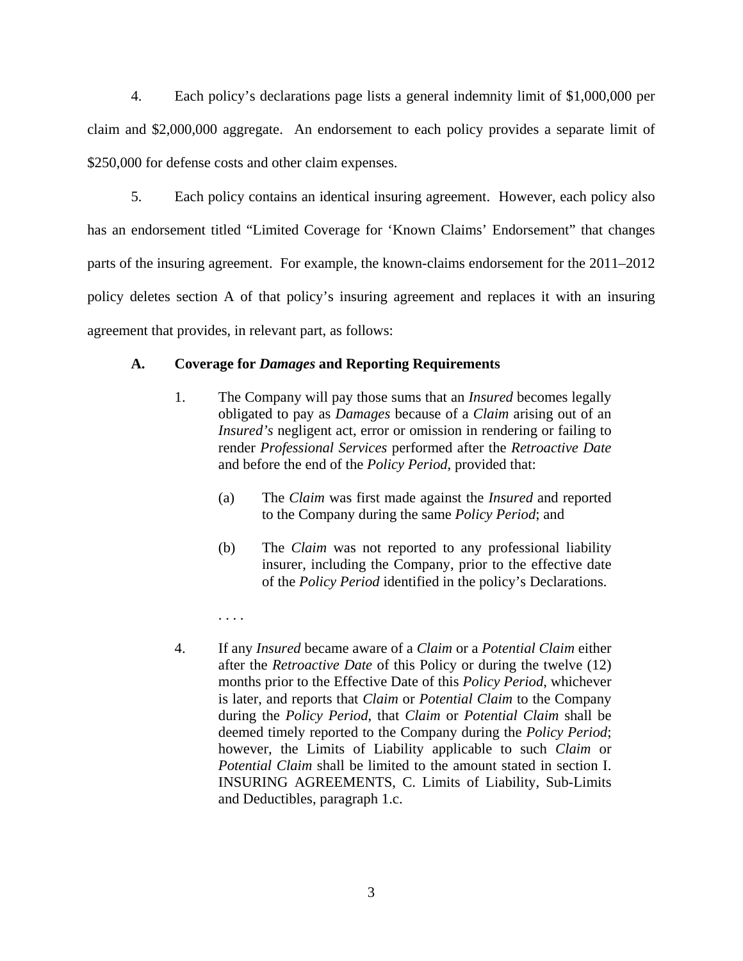4. Each policy's declarations page lists a general indemnity limit of \$1,000,000 per claim and \$2,000,000 aggregate. An endorsement to each policy provides a separate limit of \$250,000 for defense costs and other claim expenses.

5. Each policy contains an identical insuring agreement. However, each policy also has an endorsement titled "Limited Coverage for 'Known Claims' Endorsement" that changes parts of the insuring agreement. For example, the known-claims endorsement for the 2011–2012 policy deletes section A of that policy's insuring agreement and replaces it with an insuring agreement that provides, in relevant part, as follows:

## **A. Coverage for** *Damages* **and Reporting Requirements**

. . . .

- 1. The Company will pay those sums that an *Insured* becomes legally obligated to pay as *Damages* because of a *Claim* arising out of an *Insured's* negligent act, error or omission in rendering or failing to render *Professional Services* performed after the *Retroactive Date* and before the end of the *Policy Period*, provided that:
	- (a) The *Claim* was first made against the *Insured* and reported to the Company during the same *Policy Period*; and
	- (b) The *Claim* was not reported to any professional liability insurer, including the Company, prior to the effective date of the *Policy Period* identified in the policy's Declarations.
- 4. If any *Insured* became aware of a *Claim* or a *Potential Claim* either after the *Retroactive Date* of this Policy or during the twelve (12) months prior to the Effective Date of this *Policy Period*, whichever is later, and reports that *Claim* or *Potential Claim* to the Company during the *Policy Period*, that *Claim* or *Potential Claim* shall be deemed timely reported to the Company during the *Policy Period*; however, the Limits of Liability applicable to such *Claim* or *Potential Claim* shall be limited to the amount stated in section I. INSURING AGREEMENTS, C. Limits of Liability, Sub-Limits and Deductibles, paragraph 1.c.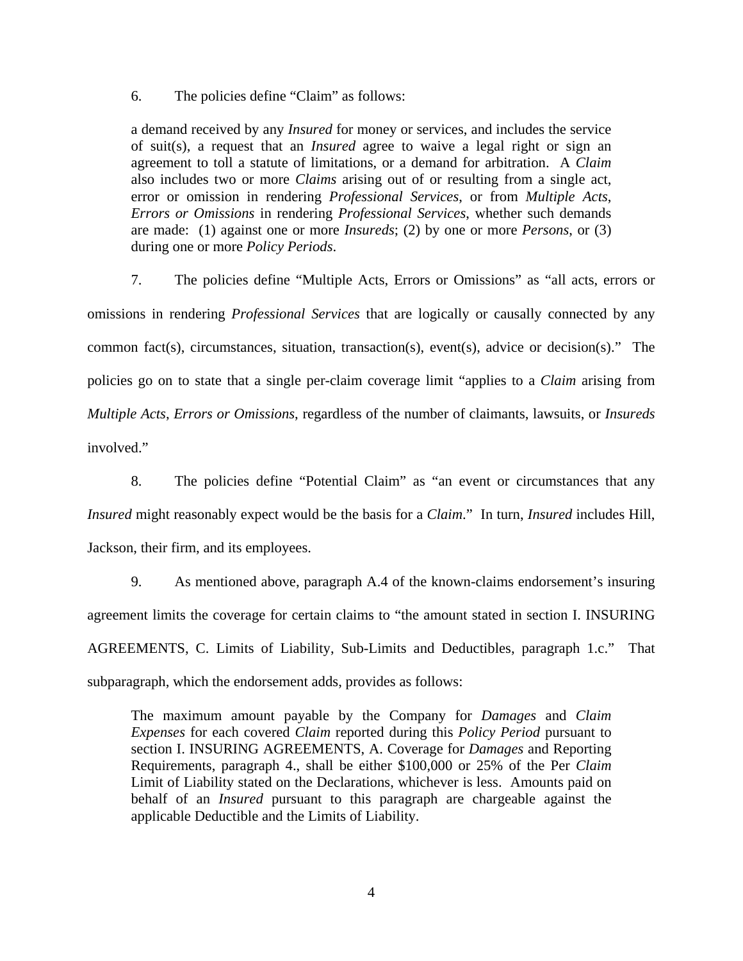6. The policies define "Claim" as follows:

a demand received by any *Insured* for money or services, and includes the service of suit(s), a request that an *Insured* agree to waive a legal right or sign an agreement to toll a statute of limitations, or a demand for arbitration. A *Claim* also includes two or more *Claims* arising out of or resulting from a single act, error or omission in rendering *Professional Services*, or from *Multiple Acts*, *Errors or Omissions* in rendering *Professional Services*, whether such demands are made: (1) against one or more *Insureds*; (2) by one or more *Persons*, or (3) during one or more *Policy Periods*.

7. The policies define "Multiple Acts, Errors or Omissions" as "all acts, errors or omissions in rendering *Professional Services* that are logically or causally connected by any common fact(s), circumstances, situation, transaction(s), event(s), advice or decision(s)." The policies go on to state that a single per-claim coverage limit "applies to a *Claim* arising from *Multiple Acts*, *Errors or Omissions*, regardless of the number of claimants, lawsuits, or *Insureds*  involved."

8. The policies define "Potential Claim" as "an event or circumstances that any *Insured* might reasonably expect would be the basis for a *Claim*." In turn, *Insured* includes Hill, Jackson, their firm, and its employees.

9. As mentioned above, paragraph A.4 of the known-claims endorsement's insuring agreement limits the coverage for certain claims to "the amount stated in section I. INSURING AGREEMENTS, C. Limits of Liability, Sub-Limits and Deductibles, paragraph 1.c." That subparagraph, which the endorsement adds, provides as follows:

The maximum amount payable by the Company for *Damages* and *Claim Expenses* for each covered *Claim* reported during this *Policy Period* pursuant to section I. INSURING AGREEMENTS, A. Coverage for *Damages* and Reporting Requirements, paragraph 4., shall be either \$100,000 or 25% of the Per *Claim*  Limit of Liability stated on the Declarations, whichever is less. Amounts paid on behalf of an *Insured* pursuant to this paragraph are chargeable against the applicable Deductible and the Limits of Liability.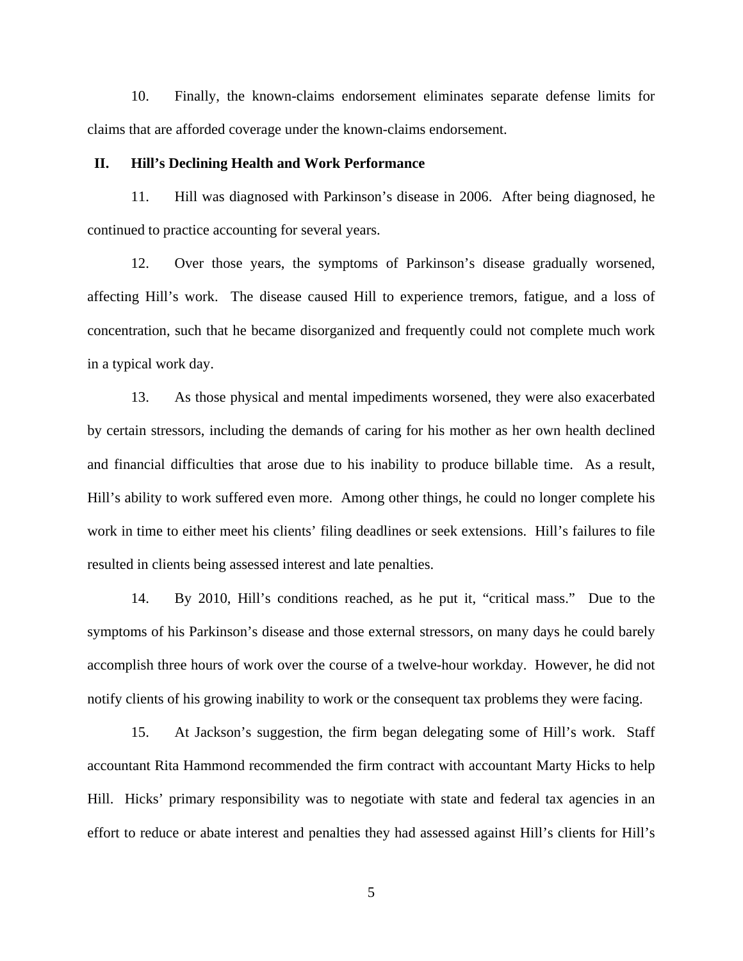10. Finally, the known-claims endorsement eliminates separate defense limits for claims that are afforded coverage under the known-claims endorsement.

#### **II. Hill's Declining Health and Work Performance**

11. Hill was diagnosed with Parkinson's disease in 2006. After being diagnosed, he continued to practice accounting for several years.

12. Over those years, the symptoms of Parkinson's disease gradually worsened, affecting Hill's work. The disease caused Hill to experience tremors, fatigue, and a loss of concentration, such that he became disorganized and frequently could not complete much work in a typical work day.

13. As those physical and mental impediments worsened, they were also exacerbated by certain stressors, including the demands of caring for his mother as her own health declined and financial difficulties that arose due to his inability to produce billable time. As a result, Hill's ability to work suffered even more. Among other things, he could no longer complete his work in time to either meet his clients' filing deadlines or seek extensions. Hill's failures to file resulted in clients being assessed interest and late penalties.

14. By 2010, Hill's conditions reached, as he put it, "critical mass." Due to the symptoms of his Parkinson's disease and those external stressors, on many days he could barely accomplish three hours of work over the course of a twelve-hour workday. However, he did not notify clients of his growing inability to work or the consequent tax problems they were facing.

15. At Jackson's suggestion, the firm began delegating some of Hill's work. Staff accountant Rita Hammond recommended the firm contract with accountant Marty Hicks to help Hill. Hicks' primary responsibility was to negotiate with state and federal tax agencies in an effort to reduce or abate interest and penalties they had assessed against Hill's clients for Hill's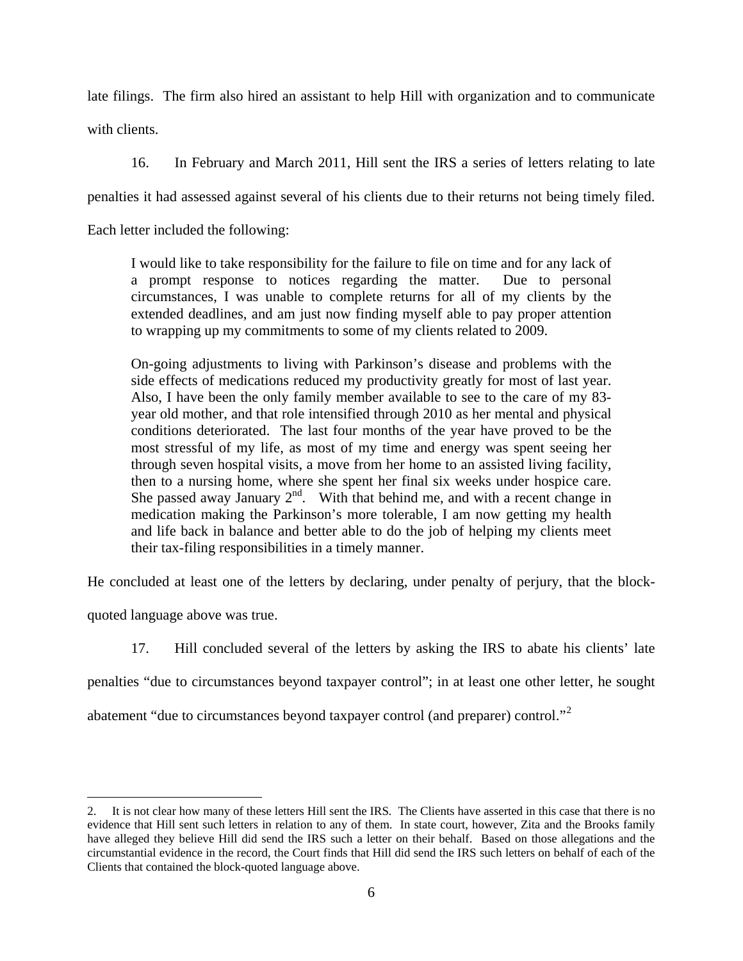late filings. The firm also hired an assistant to help Hill with organization and to communicate with clients.

16. In February and March 2011, Hill sent the IRS a series of letters relating to late

penalties it had assessed against several of his clients due to their returns not being timely filed.

Each letter included the following:

I would like to take responsibility for the failure to file on time and for any lack of a prompt response to notices regarding the matter. Due to personal circumstances, I was unable to complete returns for all of my clients by the extended deadlines, and am just now finding myself able to pay proper attention to wrapping up my commitments to some of my clients related to 2009.

On-going adjustments to living with Parkinson's disease and problems with the side effects of medications reduced my productivity greatly for most of last year. Also, I have been the only family member available to see to the care of my 83 year old mother, and that role intensified through 2010 as her mental and physical conditions deteriorated. The last four months of the year have proved to be the most stressful of my life, as most of my time and energy was spent seeing her through seven hospital visits, a move from her home to an assisted living facility, then to a nursing home, where she spent her final six weeks under hospice care. She passed away January  $2<sup>nd</sup>$ . With that behind me, and with a recent change in medication making the Parkinson's more tolerable, I am now getting my health and life back in balance and better able to do the job of helping my clients meet their tax-filing responsibilities in a timely manner.

He concluded at least one of the letters by declaring, under penalty of perjury, that the block-

quoted language above was true.

<u>.</u>

17. Hill concluded several of the letters by asking the IRS to abate his clients' late

penalties "due to circumstances beyond taxpayer control"; in at least one other letter, he sought

abatement "due to circumstances beyond taxpayer control (and preparer) control."<sup>[2](#page-5-0)</sup>

<span id="page-5-0"></span><sup>2.</sup> It is not clear how many of these letters Hill sent the IRS*.* The Clients have asserted in this case that there is no evidence that Hill sent such letters in relation to any of them. In state court, however, Zita and the Brooks family have alleged they believe Hill did send the IRS such a letter on their behalf. Based on those allegations and the circumstantial evidence in the record, the Court finds that Hill did send the IRS such letters on behalf of each of the Clients that contained the block-quoted language above.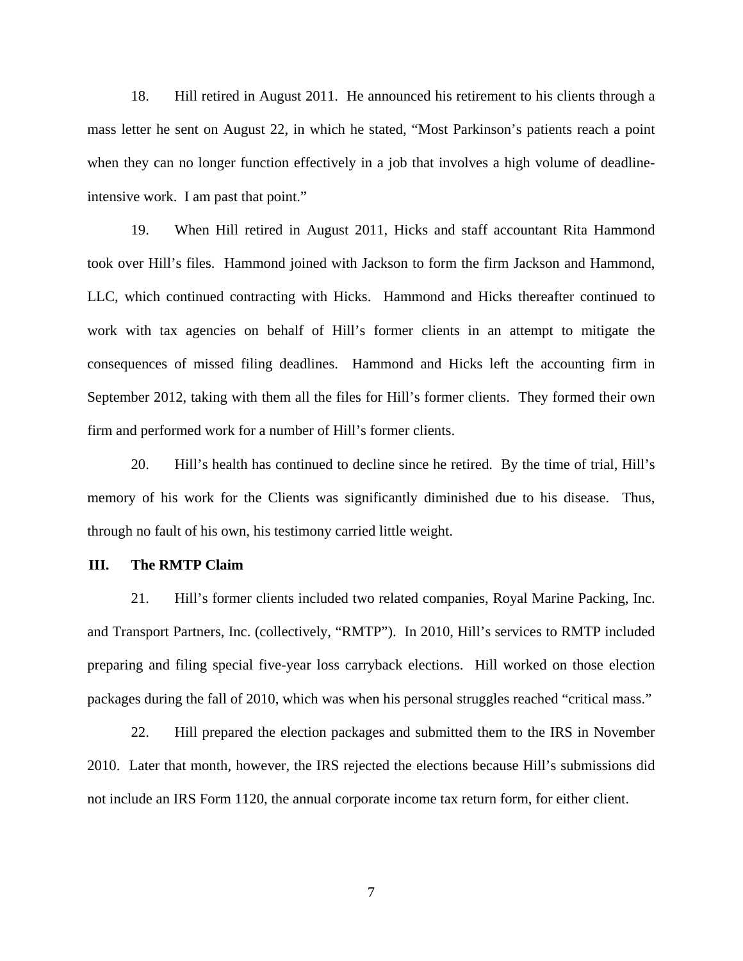18. Hill retired in August 2011. He announced his retirement to his clients through a mass letter he sent on August 22, in which he stated, "Most Parkinson's patients reach a point when they can no longer function effectively in a job that involves a high volume of deadlineintensive work. I am past that point."

19. When Hill retired in August 2011, Hicks and staff accountant Rita Hammond took over Hill's files. Hammond joined with Jackson to form the firm Jackson and Hammond, LLC, which continued contracting with Hicks. Hammond and Hicks thereafter continued to work with tax agencies on behalf of Hill's former clients in an attempt to mitigate the consequences of missed filing deadlines. Hammond and Hicks left the accounting firm in September 2012, taking with them all the files for Hill's former clients. They formed their own firm and performed work for a number of Hill's former clients.

20. Hill's health has continued to decline since he retired. By the time of trial, Hill's memory of his work for the Clients was significantly diminished due to his disease. Thus, through no fault of his own, his testimony carried little weight.

### **III. The RMTP Claim**

21. Hill's former clients included two related companies, Royal Marine Packing, Inc. and Transport Partners, Inc. (collectively, "RMTP"). In 2010, Hill's services to RMTP included preparing and filing special five-year loss carryback elections. Hill worked on those election packages during the fall of 2010, which was when his personal struggles reached "critical mass."

22. Hill prepared the election packages and submitted them to the IRS in November 2010. Later that month, however, the IRS rejected the elections because Hill's submissions did not include an IRS Form 1120, the annual corporate income tax return form, for either client.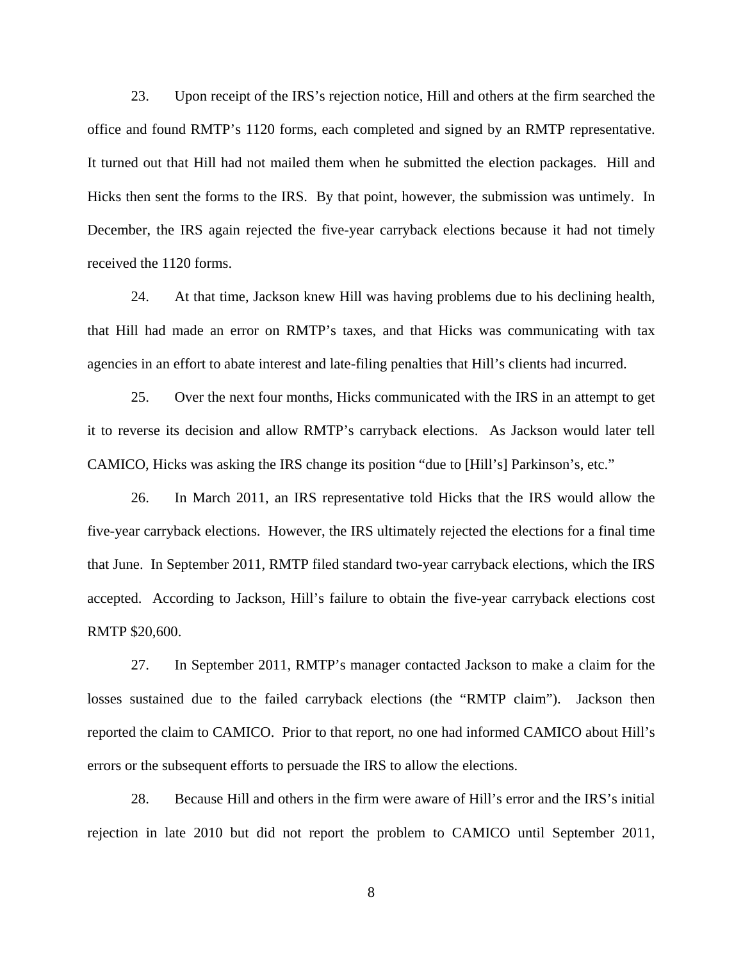23. Upon receipt of the IRS's rejection notice, Hill and others at the firm searched the office and found RMTP's 1120 forms, each completed and signed by an RMTP representative. It turned out that Hill had not mailed them when he submitted the election packages. Hill and Hicks then sent the forms to the IRS. By that point, however, the submission was untimely. In December, the IRS again rejected the five-year carryback elections because it had not timely received the 1120 forms.

24. At that time, Jackson knew Hill was having problems due to his declining health, that Hill had made an error on RMTP's taxes, and that Hicks was communicating with tax agencies in an effort to abate interest and late-filing penalties that Hill's clients had incurred.

25. Over the next four months, Hicks communicated with the IRS in an attempt to get it to reverse its decision and allow RMTP's carryback elections. As Jackson would later tell CAMICO, Hicks was asking the IRS change its position "due to [Hill's] Parkinson's, etc."

26. In March 2011, an IRS representative told Hicks that the IRS would allow the five-year carryback elections. However, the IRS ultimately rejected the elections for a final time that June. In September 2011, RMTP filed standard two-year carryback elections, which the IRS accepted. According to Jackson, Hill's failure to obtain the five-year carryback elections cost RMTP \$20,600.

27. In September 2011, RMTP's manager contacted Jackson to make a claim for the losses sustained due to the failed carryback elections (the "RMTP claim"). Jackson then reported the claim to CAMICO. Prior to that report, no one had informed CAMICO about Hill's errors or the subsequent efforts to persuade the IRS to allow the elections.

28. Because Hill and others in the firm were aware of Hill's error and the IRS's initial rejection in late 2010 but did not report the problem to CAMICO until September 2011,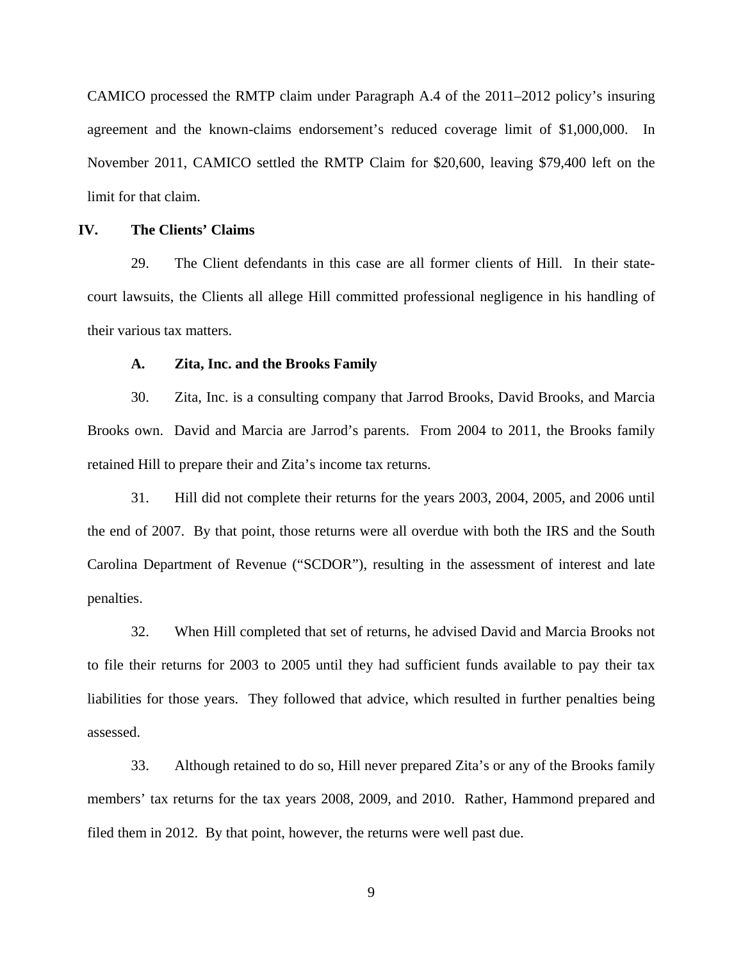CAMICO processed the RMTP claim under Paragraph A.4 of the 2011–2012 policy's insuring agreement and the known-claims endorsement's reduced coverage limit of \$1,000,000. In November 2011, CAMICO settled the RMTP Claim for \$20,600, leaving \$79,400 left on the limit for that claim.

## **IV. The Clients' Claims**

29. The Client defendants in this case are all former clients of Hill. In their statecourt lawsuits, the Clients all allege Hill committed professional negligence in his handling of their various tax matters.

### **A. Zita, Inc. and the Brooks Family**

30. Zita, Inc. is a consulting company that Jarrod Brooks, David Brooks, and Marcia Brooks own. David and Marcia are Jarrod's parents. From 2004 to 2011, the Brooks family retained Hill to prepare their and Zita's income tax returns.

31. Hill did not complete their returns for the years 2003, 2004, 2005, and 2006 until the end of 2007. By that point, those returns were all overdue with both the IRS and the South Carolina Department of Revenue ("SCDOR"), resulting in the assessment of interest and late penalties.

32. When Hill completed that set of returns, he advised David and Marcia Brooks not to file their returns for 2003 to 2005 until they had sufficient funds available to pay their tax liabilities for those years. They followed that advice, which resulted in further penalties being assessed.

33. Although retained to do so, Hill never prepared Zita's or any of the Brooks family members' tax returns for the tax years 2008, 2009, and 2010. Rather, Hammond prepared and filed them in 2012. By that point, however, the returns were well past due.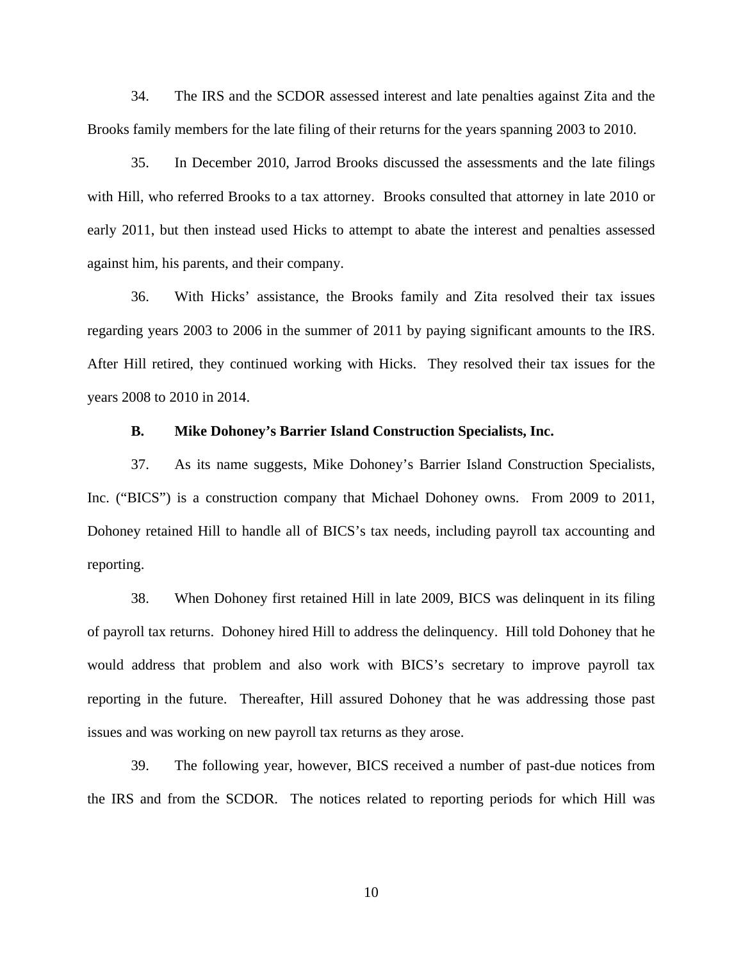34. The IRS and the SCDOR assessed interest and late penalties against Zita and the Brooks family members for the late filing of their returns for the years spanning 2003 to 2010.

35. In December 2010, Jarrod Brooks discussed the assessments and the late filings with Hill, who referred Brooks to a tax attorney. Brooks consulted that attorney in late 2010 or early 2011, but then instead used Hicks to attempt to abate the interest and penalties assessed against him, his parents, and their company.

36. With Hicks' assistance, the Brooks family and Zita resolved their tax issues regarding years 2003 to 2006 in the summer of 2011 by paying significant amounts to the IRS. After Hill retired, they continued working with Hicks. They resolved their tax issues for the years 2008 to 2010 in 2014.

### **B. Mike Dohoney's Barrier Island Construction Specialists, Inc.**

37. As its name suggests, Mike Dohoney's Barrier Island Construction Specialists, Inc. ("BICS") is a construction company that Michael Dohoney owns. From 2009 to 2011, Dohoney retained Hill to handle all of BICS's tax needs, including payroll tax accounting and reporting.

38. When Dohoney first retained Hill in late 2009, BICS was delinquent in its filing of payroll tax returns. Dohoney hired Hill to address the delinquency. Hill told Dohoney that he would address that problem and also work with BICS's secretary to improve payroll tax reporting in the future. Thereafter, Hill assured Dohoney that he was addressing those past issues and was working on new payroll tax returns as they arose.

39. The following year, however, BICS received a number of past-due notices from the IRS and from the SCDOR. The notices related to reporting periods for which Hill was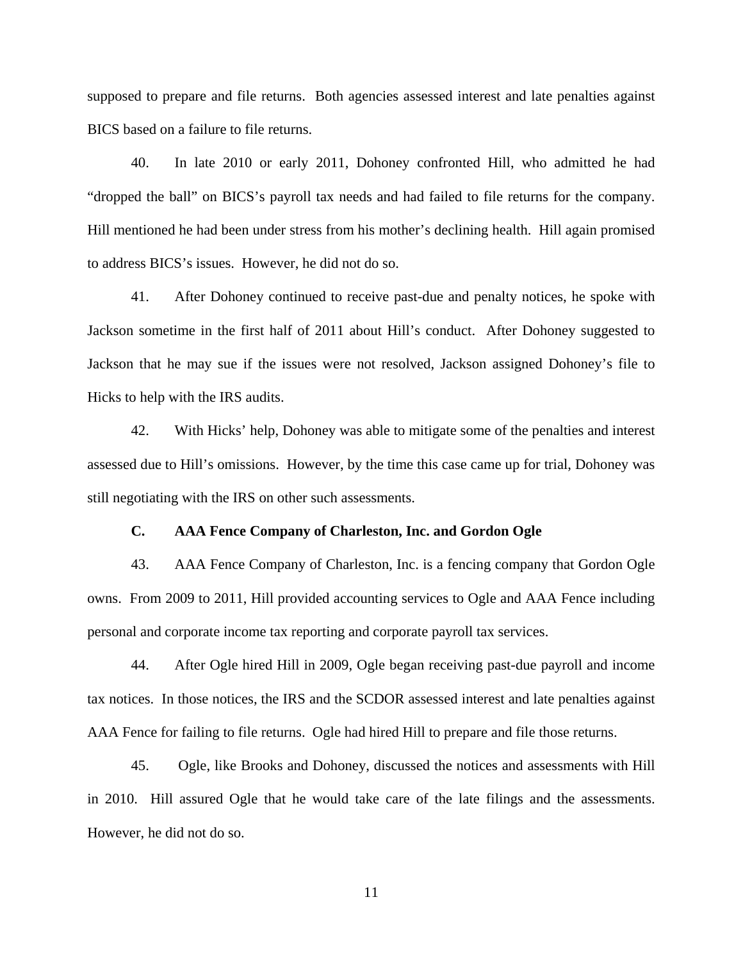supposed to prepare and file returns. Both agencies assessed interest and late penalties against BICS based on a failure to file returns.

40. In late 2010 or early 2011, Dohoney confronted Hill, who admitted he had "dropped the ball" on BICS's payroll tax needs and had failed to file returns for the company. Hill mentioned he had been under stress from his mother's declining health. Hill again promised to address BICS's issues. However, he did not do so.

41. After Dohoney continued to receive past-due and penalty notices, he spoke with Jackson sometime in the first half of 2011 about Hill's conduct. After Dohoney suggested to Jackson that he may sue if the issues were not resolved, Jackson assigned Dohoney's file to Hicks to help with the IRS audits.

42. With Hicks' help, Dohoney was able to mitigate some of the penalties and interest assessed due to Hill's omissions. However, by the time this case came up for trial, Dohoney was still negotiating with the IRS on other such assessments.

### **C. AAA Fence Company of Charleston, Inc. and Gordon Ogle**

43. AAA Fence Company of Charleston, Inc. is a fencing company that Gordon Ogle owns. From 2009 to 2011, Hill provided accounting services to Ogle and AAA Fence including personal and corporate income tax reporting and corporate payroll tax services.

44. After Ogle hired Hill in 2009, Ogle began receiving past-due payroll and income tax notices. In those notices, the IRS and the SCDOR assessed interest and late penalties against AAA Fence for failing to file returns. Ogle had hired Hill to prepare and file those returns.

45. Ogle, like Brooks and Dohoney, discussed the notices and assessments with Hill in 2010. Hill assured Ogle that he would take care of the late filings and the assessments. However, he did not do so.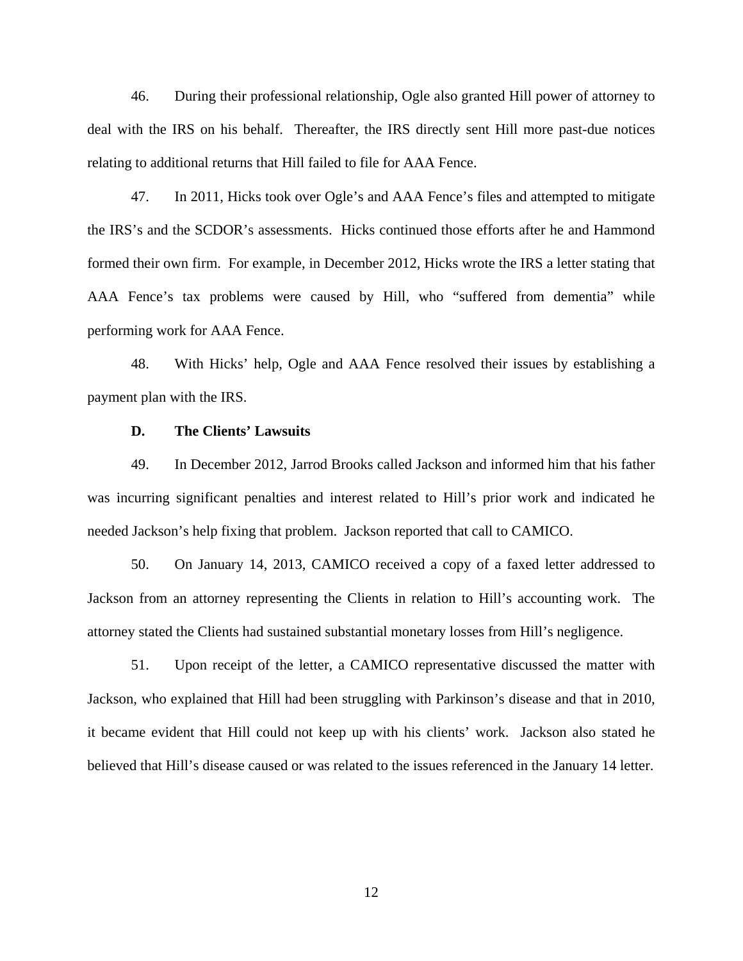46. During their professional relationship, Ogle also granted Hill power of attorney to deal with the IRS on his behalf. Thereafter, the IRS directly sent Hill more past-due notices relating to additional returns that Hill failed to file for AAA Fence.

47. In 2011, Hicks took over Ogle's and AAA Fence's files and attempted to mitigate the IRS's and the SCDOR's assessments. Hicks continued those efforts after he and Hammond formed their own firm. For example, in December 2012, Hicks wrote the IRS a letter stating that AAA Fence's tax problems were caused by Hill, who "suffered from dementia" while performing work for AAA Fence.

48. With Hicks' help, Ogle and AAA Fence resolved their issues by establishing a payment plan with the IRS.

### **D. The Clients' Lawsuits**

49. In December 2012, Jarrod Brooks called Jackson and informed him that his father was incurring significant penalties and interest related to Hill's prior work and indicated he needed Jackson's help fixing that problem. Jackson reported that call to CAMICO.

50. On January 14, 2013, CAMICO received a copy of a faxed letter addressed to Jackson from an attorney representing the Clients in relation to Hill's accounting work. The attorney stated the Clients had sustained substantial monetary losses from Hill's negligence.

51. Upon receipt of the letter, a CAMICO representative discussed the matter with Jackson, who explained that Hill had been struggling with Parkinson's disease and that in 2010, it became evident that Hill could not keep up with his clients' work. Jackson also stated he believed that Hill's disease caused or was related to the issues referenced in the January 14 letter.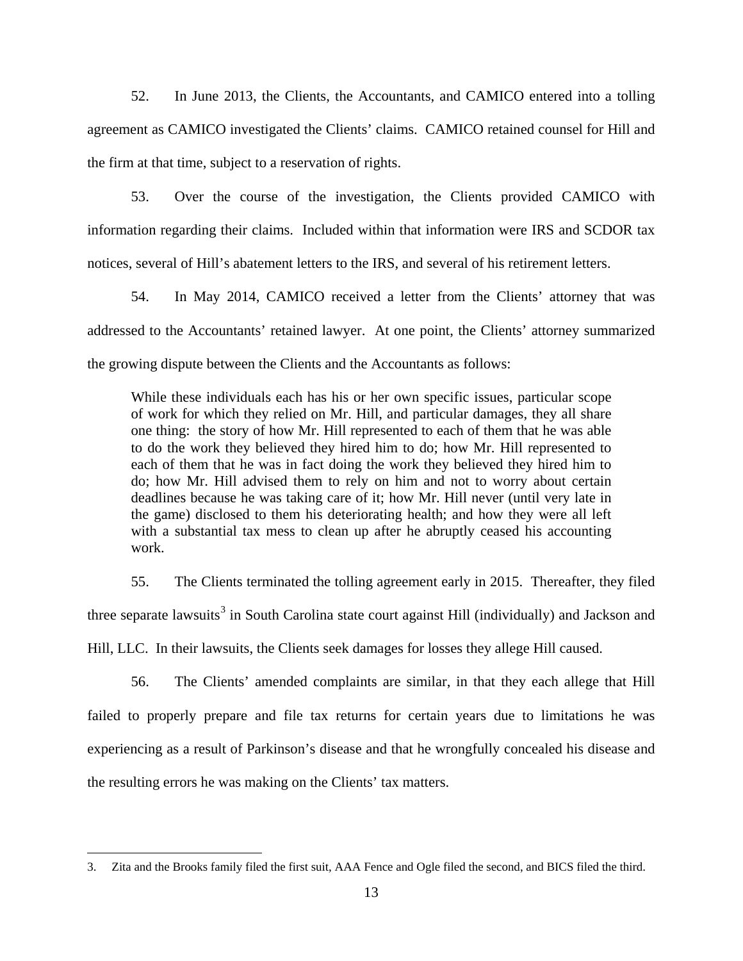52. In June 2013, the Clients, the Accountants, and CAMICO entered into a tolling agreement as CAMICO investigated the Clients' claims. CAMICO retained counsel for Hill and the firm at that time, subject to a reservation of rights.

53. Over the course of the investigation, the Clients provided CAMICO with information regarding their claims. Included within that information were IRS and SCDOR tax notices, several of Hill's abatement letters to the IRS, and several of his retirement letters.

54. In May 2014, CAMICO received a letter from the Clients' attorney that was addressed to the Accountants' retained lawyer. At one point, the Clients' attorney summarized the growing dispute between the Clients and the Accountants as follows:

While these individuals each has his or her own specific issues, particular scope of work for which they relied on Mr. Hill, and particular damages, they all share one thing: the story of how Mr. Hill represented to each of them that he was able to do the work they believed they hired him to do; how Mr. Hill represented to each of them that he was in fact doing the work they believed they hired him to do; how Mr. Hill advised them to rely on him and not to worry about certain deadlines because he was taking care of it; how Mr. Hill never (until very late in the game) disclosed to them his deteriorating health; and how they were all left with a substantial tax mess to clean up after he abruptly ceased his accounting work.

55. The Clients terminated the tolling agreement early in 2015. Thereafter, they filed three separate lawsuits<sup>[3](#page-12-0)</sup> in South Carolina state court against Hill (individually) and Jackson and Hill, LLC. In their lawsuits, the Clients seek damages for losses they allege Hill caused.

56. The Clients' amended complaints are similar, in that they each allege that Hill failed to properly prepare and file tax returns for certain years due to limitations he was experiencing as a result of Parkinson's disease and that he wrongfully concealed his disease and the resulting errors he was making on the Clients' tax matters.

<u>.</u>

<span id="page-12-0"></span><sup>3.</sup> Zita and the Brooks family filed the first suit, AAA Fence and Ogle filed the second, and BICS filed the third.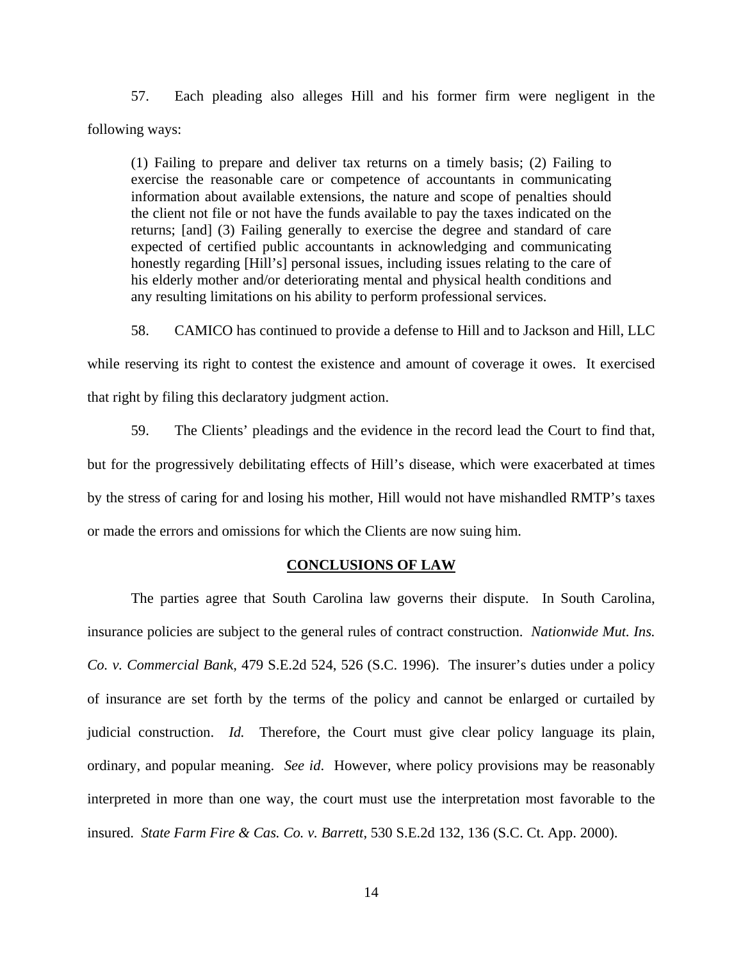57. Each pleading also alleges Hill and his former firm were negligent in the following ways:

(1) Failing to prepare and deliver tax returns on a timely basis; (2) Failing to exercise the reasonable care or competence of accountants in communicating information about available extensions, the nature and scope of penalties should the client not file or not have the funds available to pay the taxes indicated on the returns; [and] (3) Failing generally to exercise the degree and standard of care expected of certified public accountants in acknowledging and communicating honestly regarding [Hill's] personal issues, including issues relating to the care of his elderly mother and/or deteriorating mental and physical health conditions and any resulting limitations on his ability to perform professional services.

58. CAMICO has continued to provide a defense to Hill and to Jackson and Hill, LLC while reserving its right to contest the existence and amount of coverage it owes. It exercised that right by filing this declaratory judgment action.

59. The Clients' pleadings and the evidence in the record lead the Court to find that, but for the progressively debilitating effects of Hill's disease, which were exacerbated at times by the stress of caring for and losing his mother, Hill would not have mishandled RMTP's taxes or made the errors and omissions for which the Clients are now suing him.

## **CONCLUSIONS OF LAW**

The parties agree that South Carolina law governs their dispute. In South Carolina, insurance policies are subject to the general rules of contract construction. *Nationwide Mut. Ins. Co. v. Commercial Bank*, 479 S.E.2d 524, 526 (S.C. 1996). The insurer's duties under a policy of insurance are set forth by the terms of the policy and cannot be enlarged or curtailed by judicial construction. *Id.* Therefore, the Court must give clear policy language its plain, ordinary, and popular meaning. *See id*. However, where policy provisions may be reasonably interpreted in more than one way, the court must use the interpretation most favorable to the insured. *State Farm Fire & Cas. Co. v. Barrett*, 530 S.E.2d 132, 136 (S.C. Ct. App. 2000).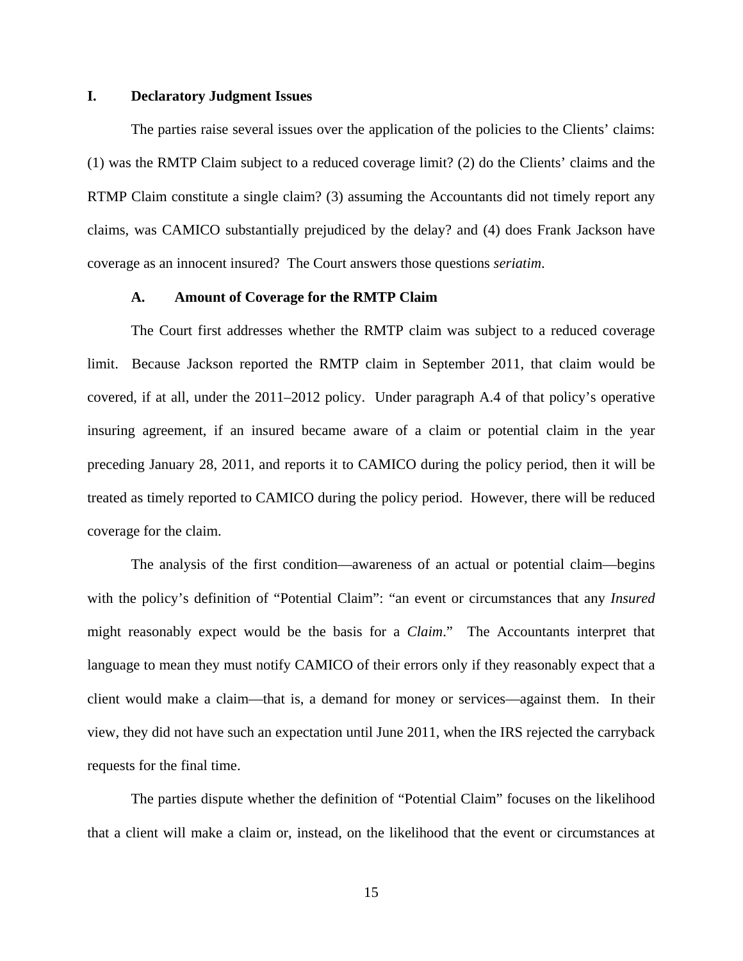#### **I. Declaratory Judgment Issues**

The parties raise several issues over the application of the policies to the Clients' claims: (1) was the RMTP Claim subject to a reduced coverage limit? (2) do the Clients' claims and the RTMP Claim constitute a single claim? (3) assuming the Accountants did not timely report any claims, was CAMICO substantially prejudiced by the delay? and (4) does Frank Jackson have coverage as an innocent insured? The Court answers those questions *seriatim*.

### **A. Amount of Coverage for the RMTP Claim**

The Court first addresses whether the RMTP claim was subject to a reduced coverage limit. Because Jackson reported the RMTP claim in September 2011, that claim would be covered, if at all, under the 2011–2012 policy. Under paragraph A.4 of that policy's operative insuring agreement, if an insured became aware of a claim or potential claim in the year preceding January 28, 2011, and reports it to CAMICO during the policy period, then it will be treated as timely reported to CAMICO during the policy period. However, there will be reduced coverage for the claim.

The analysis of the first condition—awareness of an actual or potential claim—begins with the policy's definition of "Potential Claim": "an event or circumstances that any *Insured* might reasonably expect would be the basis for a *Claim*." The Accountants interpret that language to mean they must notify CAMICO of their errors only if they reasonably expect that a client would make a claim—that is, a demand for money or services—against them. In their view, they did not have such an expectation until June 2011, when the IRS rejected the carryback requests for the final time.

The parties dispute whether the definition of "Potential Claim" focuses on the likelihood that a client will make a claim or, instead, on the likelihood that the event or circumstances at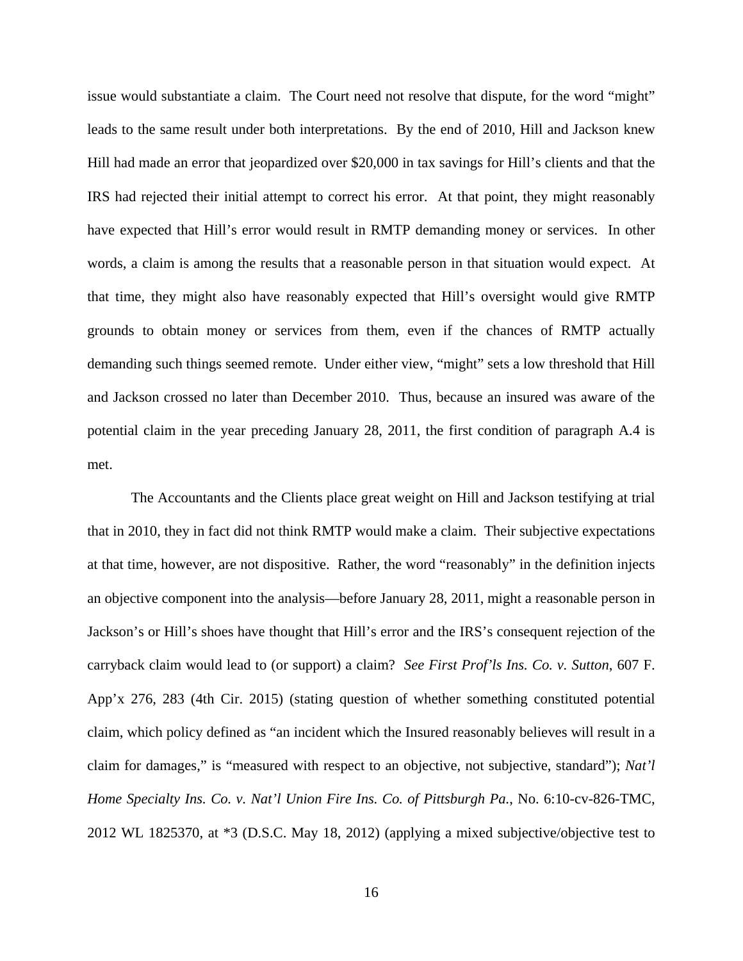issue would substantiate a claim. The Court need not resolve that dispute, for the word "might" leads to the same result under both interpretations. By the end of 2010, Hill and Jackson knew Hill had made an error that jeopardized over \$20,000 in tax savings for Hill's clients and that the IRS had rejected their initial attempt to correct his error. At that point, they might reasonably have expected that Hill's error would result in RMTP demanding money or services. In other words, a claim is among the results that a reasonable person in that situation would expect. At that time, they might also have reasonably expected that Hill's oversight would give RMTP grounds to obtain money or services from them, even if the chances of RMTP actually demanding such things seemed remote. Under either view, "might" sets a low threshold that Hill and Jackson crossed no later than December 2010. Thus, because an insured was aware of the potential claim in the year preceding January 28, 2011, the first condition of paragraph A.4 is met.

The Accountants and the Clients place great weight on Hill and Jackson testifying at trial that in 2010, they in fact did not think RMTP would make a claim. Their subjective expectations at that time, however, are not dispositive. Rather, the word "reasonably" in the definition injects an objective component into the analysis—before January 28, 2011, might a reasonable person in Jackson's or Hill's shoes have thought that Hill's error and the IRS's consequent rejection of the carryback claim would lead to (or support) a claim? *See First Prof'ls Ins. Co. v. Sutton*, 607 F. App'x 276, 283 (4th Cir. 2015) (stating question of whether something constituted potential claim, which policy defined as "an incident which the Insured reasonably believes will result in a claim for damages," is "measured with respect to an objective, not subjective, standard"); *Nat'l Home Specialty Ins. Co. v. Nat'l Union Fire Ins. Co. of Pittsburgh Pa.*, No. 6:10-cv-826-TMC, 2012 WL 1825370, at \*3 (D.S.C. May 18, 2012) (applying a mixed subjective/objective test to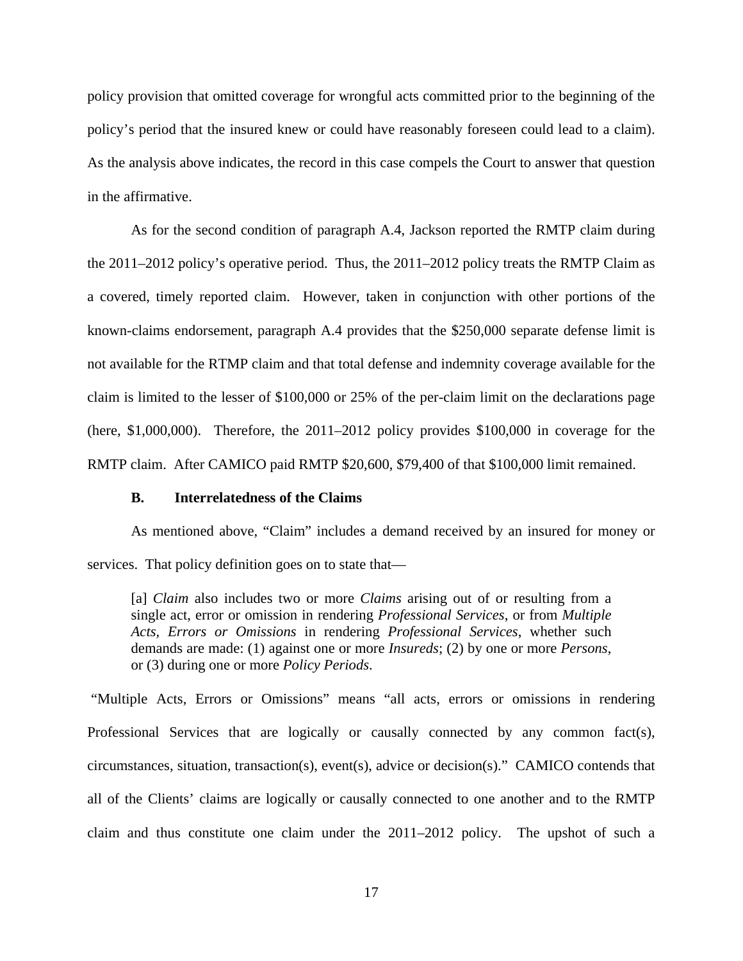policy provision that omitted coverage for wrongful acts committed prior to the beginning of the policy's period that the insured knew or could have reasonably foreseen could lead to a claim). As the analysis above indicates, the record in this case compels the Court to answer that question in the affirmative.

As for the second condition of paragraph A.4, Jackson reported the RMTP claim during the 2011–2012 policy's operative period. Thus, the 2011–2012 policy treats the RMTP Claim as a covered, timely reported claim. However, taken in conjunction with other portions of the known-claims endorsement, paragraph A.4 provides that the \$250,000 separate defense limit is not available for the RTMP claim and that total defense and indemnity coverage available for the claim is limited to the lesser of \$100,000 or 25% of the per-claim limit on the declarations page (here, \$1,000,000). Therefore, the 2011–2012 policy provides \$100,000 in coverage for the RMTP claim. After CAMICO paid RMTP \$20,600, \$79,400 of that \$100,000 limit remained.

### **B. Interrelatedness of the Claims**

As mentioned above, "Claim" includes a demand received by an insured for money or services. That policy definition goes on to state that—

[a] *Claim* also includes two or more *Claims* arising out of or resulting from a single act, error or omission in rendering *Professional Services*, or from *Multiple Acts, Errors or Omissions* in rendering *Professional Services*, whether such demands are made: (1) against one or more *Insureds*; (2) by one or more *Persons*, or (3) during one or more *Policy Periods*.

"Multiple Acts, Errors or Omissions" means "all acts, errors or omissions in rendering Professional Services that are logically or causally connected by any common fact(s), circumstances, situation, transaction(s), event(s), advice or decision(s)." CAMICO contends that all of the Clients' claims are logically or causally connected to one another and to the RMTP claim and thus constitute one claim under the 2011–2012 policy. The upshot of such a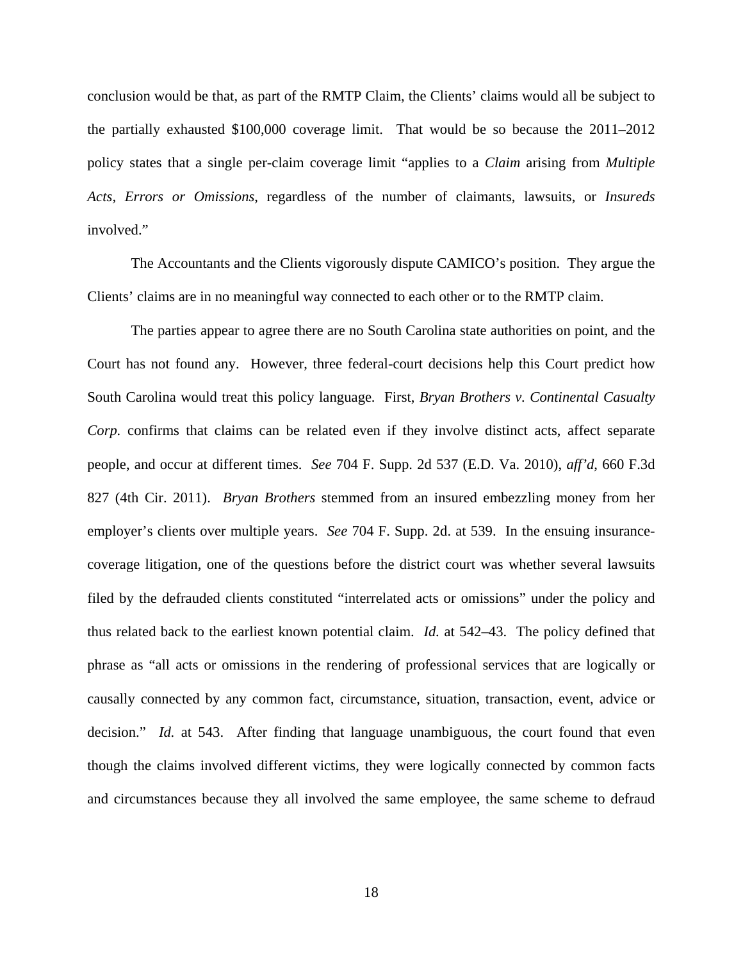conclusion would be that, as part of the RMTP Claim, the Clients' claims would all be subject to the partially exhausted \$100,000 coverage limit. That would be so because the 2011–2012 policy states that a single per-claim coverage limit "applies to a *Claim* arising from *Multiple Acts, Errors or Omissions*, regardless of the number of claimants, lawsuits, or *Insureds*  involved."

The Accountants and the Clients vigorously dispute CAMICO's position. They argue the Clients' claims are in no meaningful way connected to each other or to the RMTP claim.

The parties appear to agree there are no South Carolina state authorities on point, and the Court has not found any. However, three federal-court decisions help this Court predict how South Carolina would treat this policy language. First, *Bryan Brothers v. Continental Casualty Corp.* confirms that claims can be related even if they involve distinct acts, affect separate people, and occur at different times. *See* 704 F. Supp. 2d 537 (E.D. Va. 2010), *aff'd*, 660 F.3d 827 (4th Cir. 2011). *Bryan Brothers* stemmed from an insured embezzling money from her employer's clients over multiple years. *See* 704 F. Supp. 2d. at 539. In the ensuing insurancecoverage litigation, one of the questions before the district court was whether several lawsuits filed by the defrauded clients constituted "interrelated acts or omissions" under the policy and thus related back to the earliest known potential claim. *Id.* at 542–43. The policy defined that phrase as "all acts or omissions in the rendering of professional services that are logically or causally connected by any common fact, circumstance, situation, transaction, event, advice or decision." *Id.* at 543. After finding that language unambiguous, the court found that even though the claims involved different victims, they were logically connected by common facts and circumstances because they all involved the same employee, the same scheme to defraud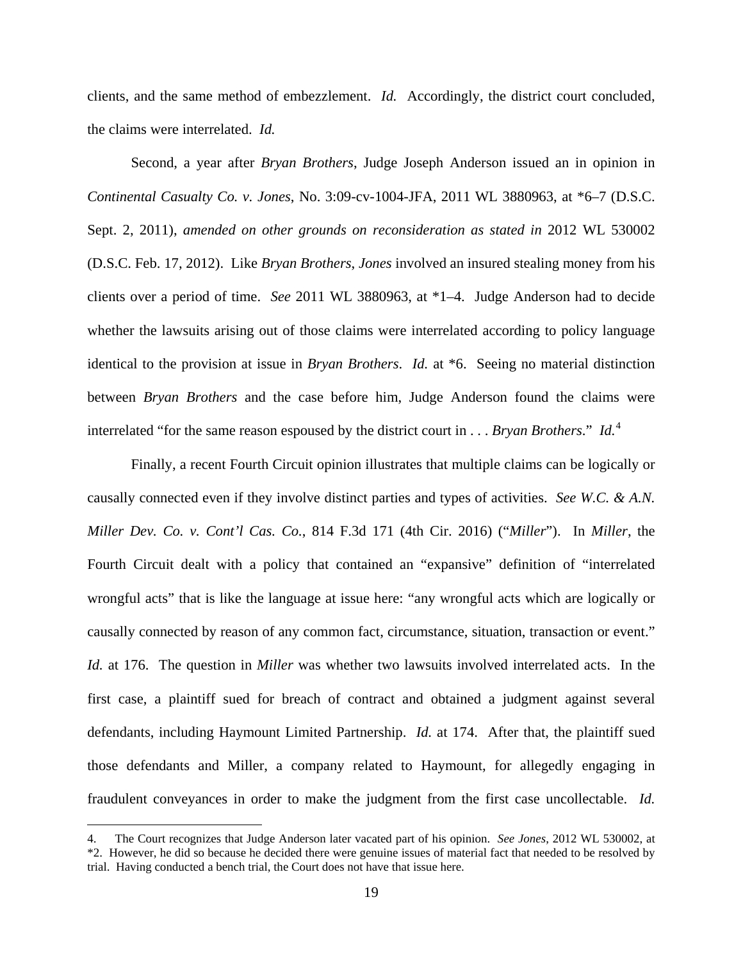clients, and the same method of embezzlement. *Id.* Accordingly, the district court concluded, the claims were interrelated. *Id.* 

Second, a year after *Bryan Brothers*, Judge Joseph Anderson issued an in opinion in *Continental Casualty Co. v. Jones*, No. 3:09-cv-1004-JFA, 2011 WL 3880963, at \*6–7 (D.S.C. Sept. 2, 2011), *amended on other grounds on reconsideration as stated in* 2012 WL 530002 (D.S.C. Feb. 17, 2012). Like *Bryan Brothers*, *Jones* involved an insured stealing money from his clients over a period of time. *See* 2011 WL 3880963, at \*1–4. Judge Anderson had to decide whether the lawsuits arising out of those claims were interrelated according to policy language identical to the provision at issue in *Bryan Brothers*. *Id.* at \*6. Seeing no material distinction between *Bryan Brothers* and the case before him, Judge Anderson found the claims were interrelated "for the same reason espoused by the district court in . . . *Bryan Brothers*." *Id.*[4](#page-18-0)

Finally, a recent Fourth Circuit opinion illustrates that multiple claims can be logically or causally connected even if they involve distinct parties and types of activities. *See W.C. & A.N. Miller Dev. Co. v. Cont'l Cas. Co.*, 814 F.3d 171 (4th Cir. 2016) ("*Miller*"). In *Miller*, the Fourth Circuit dealt with a policy that contained an "expansive" definition of "interrelated wrongful acts" that is like the language at issue here: "any wrongful acts which are logically or causally connected by reason of any common fact, circumstance, situation, transaction or event." *Id.* at 176. The question in *Miller* was whether two lawsuits involved interrelated acts. In the first case, a plaintiff sued for breach of contract and obtained a judgment against several defendants, including Haymount Limited Partnership. *Id.* at 174. After that, the plaintiff sued those defendants and Miller, a company related to Haymount, for allegedly engaging in fraudulent conveyances in order to make the judgment from the first case uncollectable. *Id.*

<u>.</u>

<span id="page-18-0"></span><sup>4.</sup> The Court recognizes that Judge Anderson later vacated part of his opinion. *See Jones*, 2012 WL 530002, at \*2. However, he did so because he decided there were genuine issues of material fact that needed to be resolved by trial. Having conducted a bench trial, the Court does not have that issue here.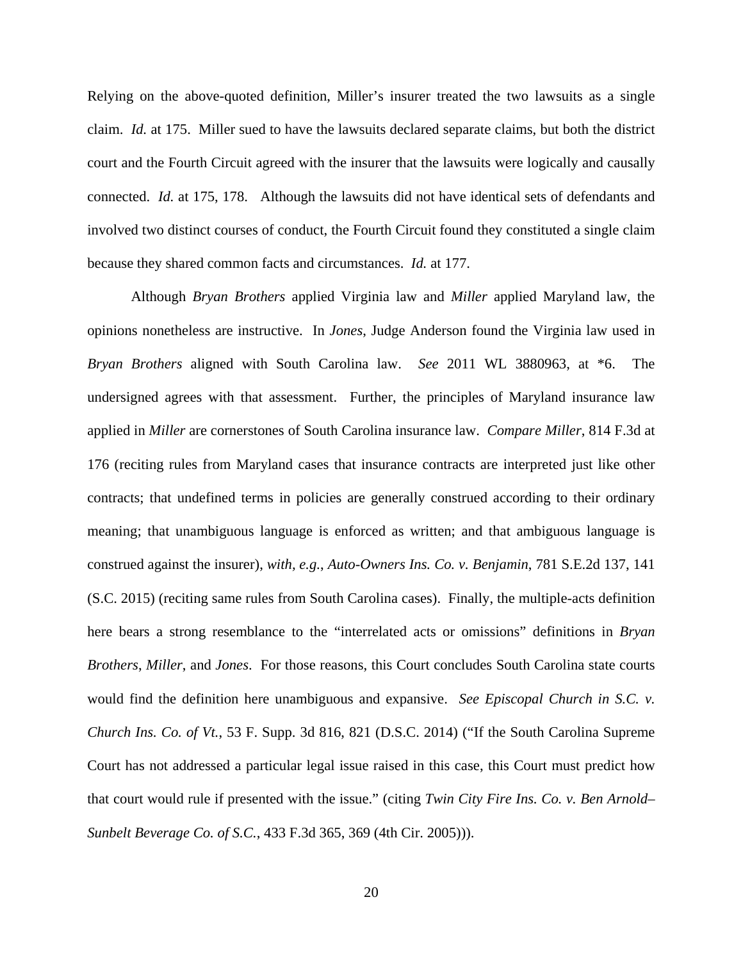Relying on the above-quoted definition, Miller's insurer treated the two lawsuits as a single claim. *Id.* at 175. Miller sued to have the lawsuits declared separate claims, but both the district court and the Fourth Circuit agreed with the insurer that the lawsuits were logically and causally connected. *Id.* at 175, 178. Although the lawsuits did not have identical sets of defendants and involved two distinct courses of conduct, the Fourth Circuit found they constituted a single claim because they shared common facts and circumstances. *Id.* at 177.

Although *Bryan Brothers* applied Virginia law and *Miller* applied Maryland law, the opinions nonetheless are instructive. In *Jones*, Judge Anderson found the Virginia law used in *Bryan Brothers* aligned with South Carolina law. *See* 2011 WL 3880963, at \*6. The undersigned agrees with that assessment. Further, the principles of Maryland insurance law applied in *Miller* are cornerstones of South Carolina insurance law. *Compare Miller*, 814 F.3d at 176 (reciting rules from Maryland cases that insurance contracts are interpreted just like other contracts; that undefined terms in policies are generally construed according to their ordinary meaning; that unambiguous language is enforced as written; and that ambiguous language is construed against the insurer), *with, e.g.*, *Auto-Owners Ins. Co. v. Benjamin*, 781 S.E.2d 137, 141 (S.C. 2015) (reciting same rules from South Carolina cases). Finally, the multiple-acts definition here bears a strong resemblance to the "interrelated acts or omissions" definitions in *Bryan Brothers*, *Miller*, and *Jones*. For those reasons, this Court concludes South Carolina state courts would find the definition here unambiguous and expansive. *See Episcopal Church in S.C. v. Church Ins. Co. of Vt.*, 53 F. Supp. 3d 816, 821 (D.S.C. 2014) ("If the South Carolina Supreme Court has not addressed a particular legal issue raised in this case, this Court must predict how that court would rule if presented with the issue." (citing *Twin City Fire Ins. Co. v. Ben Arnold– Sunbelt Beverage Co. of S.C.*, 433 F.3d 365, 369 (4th Cir. 2005))).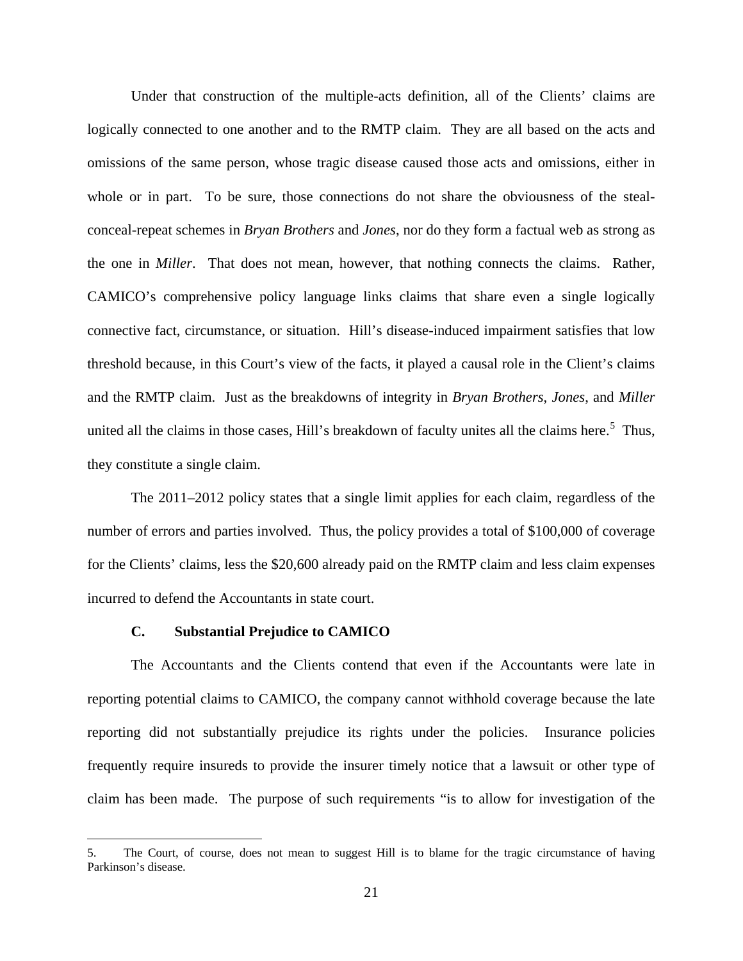Under that construction of the multiple-acts definition, all of the Clients' claims are logically connected to one another and to the RMTP claim. They are all based on the acts and omissions of the same person, whose tragic disease caused those acts and omissions, either in whole or in part. To be sure, those connections do not share the obviousness of the stealconceal-repeat schemes in *Bryan Brothers* and *Jones*, nor do they form a factual web as strong as the one in *Miller*. That does not mean, however, that nothing connects the claims. Rather, CAMICO's comprehensive policy language links claims that share even a single logically connective fact, circumstance, or situation. Hill's disease-induced impairment satisfies that low threshold because, in this Court's view of the facts, it played a causal role in the Client's claims and the RMTP claim. Just as the breakdowns of integrity in *Bryan Brothers*, *Jones*, and *Miller* united all the claims in those cases, Hill's breakdown of faculty unites all the claims here.<sup>[5](#page-20-0)</sup> Thus, they constitute a single claim.

The 2011–2012 policy states that a single limit applies for each claim, regardless of the number of errors and parties involved. Thus, the policy provides a total of \$100,000 of coverage for the Clients' claims, less the \$20,600 already paid on the RMTP claim and less claim expenses incurred to defend the Accountants in state court.

## **C. Substantial Prejudice to CAMICO**

<u>.</u>

The Accountants and the Clients contend that even if the Accountants were late in reporting potential claims to CAMICO, the company cannot withhold coverage because the late reporting did not substantially prejudice its rights under the policies. Insurance policies frequently require insureds to provide the insurer timely notice that a lawsuit or other type of claim has been made. The purpose of such requirements "is to allow for investigation of the

<span id="page-20-0"></span><sup>5.</sup> The Court, of course, does not mean to suggest Hill is to blame for the tragic circumstance of having Parkinson's disease.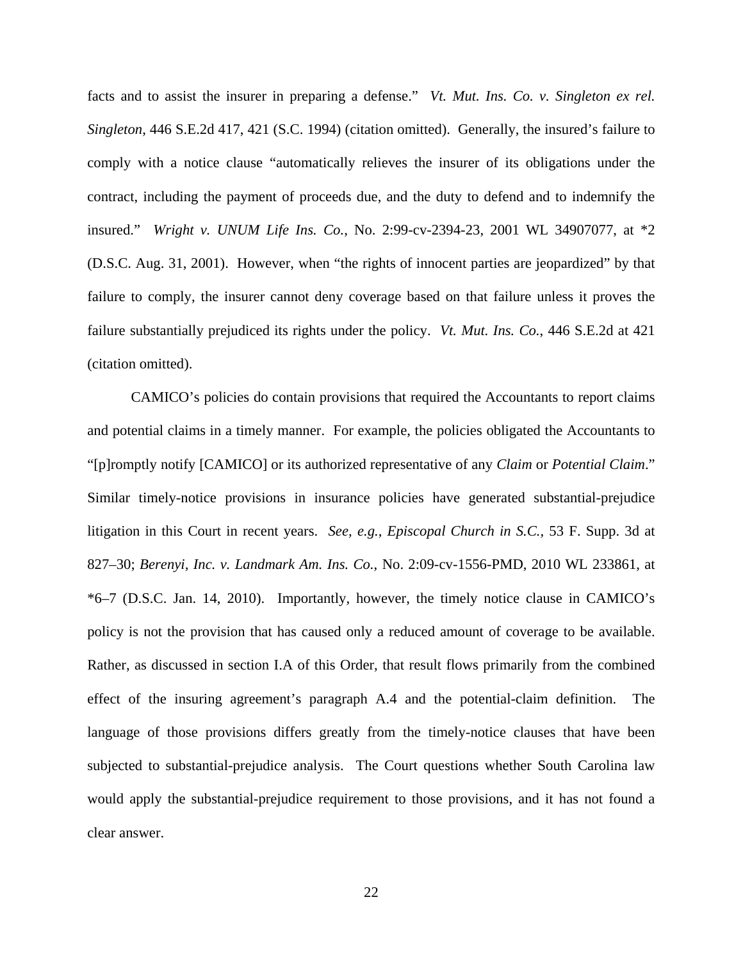facts and to assist the insurer in preparing a defense." *Vt. Mut. Ins. Co. v. Singleton ex rel. Singleton*, 446 S.E.2d 417, 421 (S.C. 1994) (citation omitted). Generally, the insured's failure to comply with a notice clause "automatically relieves the insurer of its obligations under the contract, including the payment of proceeds due, and the duty to defend and to indemnify the insured." *Wright v. UNUM Life Ins. Co.*, No. 2:99-cv-2394-23, 2001 WL 34907077, at \*2 (D.S.C. Aug. 31, 2001). However, when "the rights of innocent parties are jeopardized" by that failure to comply, the insurer cannot deny coverage based on that failure unless it proves the failure substantially prejudiced its rights under the policy. *Vt. Mut. Ins. Co.*, 446 S.E.2d at 421 (citation omitted).

CAMICO's policies do contain provisions that required the Accountants to report claims and potential claims in a timely manner. For example, the policies obligated the Accountants to "[p]romptly notify [CAMICO] or its authorized representative of any *Claim* or *Potential Claim*." Similar timely-notice provisions in insurance policies have generated substantial-prejudice litigation in this Court in recent years. *See, e.g.*, *Episcopal Church in S.C.*, 53 F. Supp. 3d at 827–30; *Berenyi, Inc. v. Landmark Am. Ins. Co.*, No. 2:09-cv-1556-PMD, 2010 WL 233861, at \*6–7 (D.S.C. Jan. 14, 2010). Importantly, however, the timely notice clause in CAMICO's policy is not the provision that has caused only a reduced amount of coverage to be available. Rather, as discussed in section I.A of this Order, that result flows primarily from the combined effect of the insuring agreement's paragraph A.4 and the potential-claim definition. The language of those provisions differs greatly from the timely-notice clauses that have been subjected to substantial-prejudice analysis. The Court questions whether South Carolina law would apply the substantial-prejudice requirement to those provisions, and it has not found a clear answer.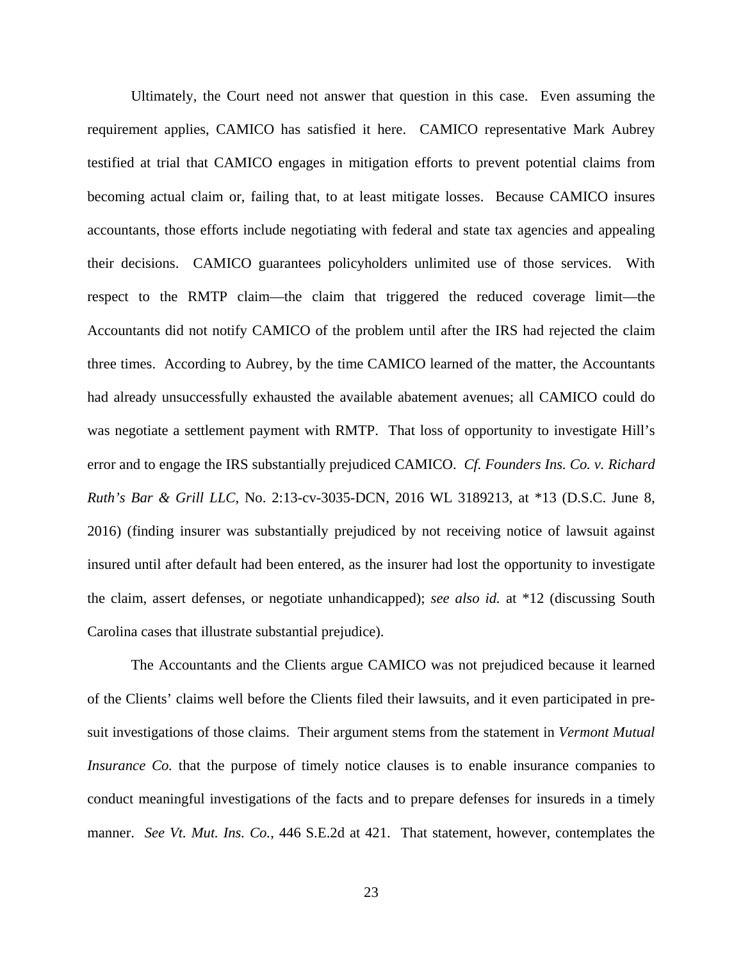Ultimately, the Court need not answer that question in this case. Even assuming the requirement applies, CAMICO has satisfied it here. CAMICO representative Mark Aubrey testified at trial that CAMICO engages in mitigation efforts to prevent potential claims from becoming actual claim or, failing that, to at least mitigate losses. Because CAMICO insures accountants, those efforts include negotiating with federal and state tax agencies and appealing their decisions. CAMICO guarantees policyholders unlimited use of those services. With respect to the RMTP claim—the claim that triggered the reduced coverage limit—the Accountants did not notify CAMICO of the problem until after the IRS had rejected the claim three times. According to Aubrey, by the time CAMICO learned of the matter, the Accountants had already unsuccessfully exhausted the available abatement avenues; all CAMICO could do was negotiate a settlement payment with RMTP. That loss of opportunity to investigate Hill's error and to engage the IRS substantially prejudiced CAMICO. *Cf. Founders Ins. Co. v. Richard Ruth's Bar & Grill LLC*, No. 2:13-cv-3035-DCN, 2016 WL 3189213, at \*13 (D.S.C. June 8, 2016) (finding insurer was substantially prejudiced by not receiving notice of lawsuit against insured until after default had been entered, as the insurer had lost the opportunity to investigate the claim, assert defenses, or negotiate unhandicapped); *see also id.* at \*12 (discussing South Carolina cases that illustrate substantial prejudice).

The Accountants and the Clients argue CAMICO was not prejudiced because it learned of the Clients' claims well before the Clients filed their lawsuits, and it even participated in presuit investigations of those claims. Their argument stems from the statement in *Vermont Mutual Insurance Co.* that the purpose of timely notice clauses is to enable insurance companies to conduct meaningful investigations of the facts and to prepare defenses for insureds in a timely manner. *See Vt. Mut. Ins. Co.*, 446 S.E.2d at 421. That statement, however, contemplates the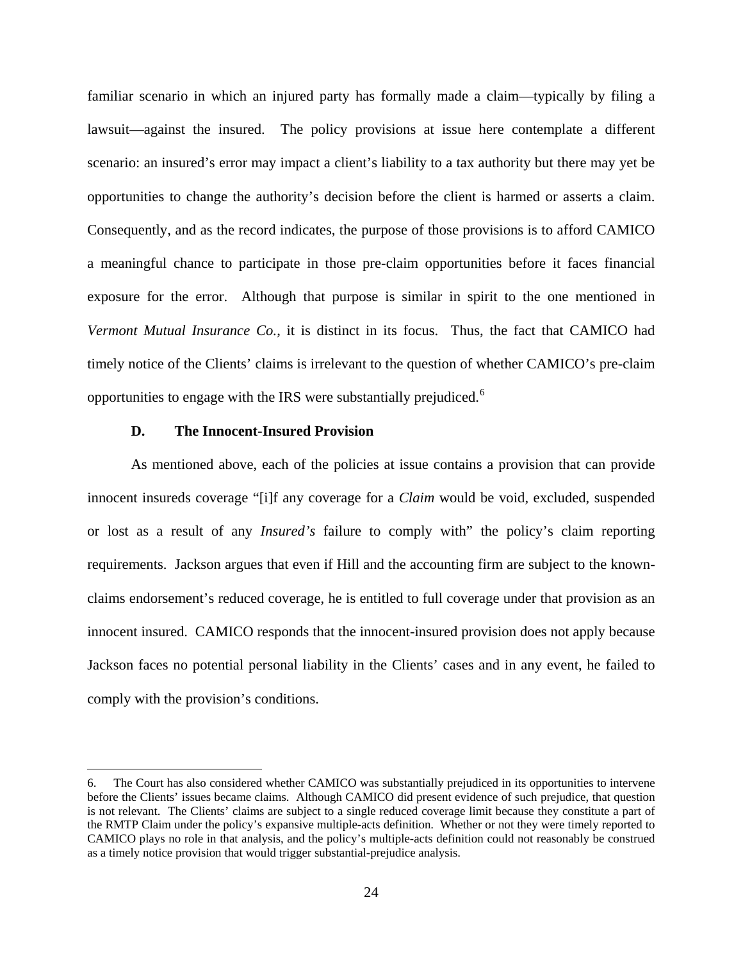familiar scenario in which an injured party has formally made a claim—typically by filing a lawsuit—against the insured. The policy provisions at issue here contemplate a different scenario: an insured's error may impact a client's liability to a tax authority but there may yet be opportunities to change the authority's decision before the client is harmed or asserts a claim. Consequently, and as the record indicates, the purpose of those provisions is to afford CAMICO a meaningful chance to participate in those pre-claim opportunities before it faces financial exposure for the error. Although that purpose is similar in spirit to the one mentioned in *Vermont Mutual Insurance Co.*, it is distinct in its focus. Thus, the fact that CAMICO had timely notice of the Clients' claims is irrelevant to the question of whether CAMICO's pre-claim opportunities to engage with the IRS were substantially prejudiced.<sup>[6](#page-23-0)</sup>

### **D. The Innocent-Insured Provision**

<u>.</u>

As mentioned above, each of the policies at issue contains a provision that can provide innocent insureds coverage "[i]f any coverage for a *Claim* would be void, excluded, suspended or lost as a result of any *Insured's* failure to comply with" the policy's claim reporting requirements. Jackson argues that even if Hill and the accounting firm are subject to the knownclaims endorsement's reduced coverage, he is entitled to full coverage under that provision as an innocent insured. CAMICO responds that the innocent-insured provision does not apply because Jackson faces no potential personal liability in the Clients' cases and in any event, he failed to comply with the provision's conditions.

<span id="page-23-0"></span><sup>6.</sup> The Court has also considered whether CAMICO was substantially prejudiced in its opportunities to intervene before the Clients' issues became claims. Although CAMICO did present evidence of such prejudice, that question is not relevant. The Clients' claims are subject to a single reduced coverage limit because they constitute a part of the RMTP Claim under the policy's expansive multiple-acts definition. Whether or not they were timely reported to CAMICO plays no role in that analysis, and the policy's multiple-acts definition could not reasonably be construed as a timely notice provision that would trigger substantial-prejudice analysis.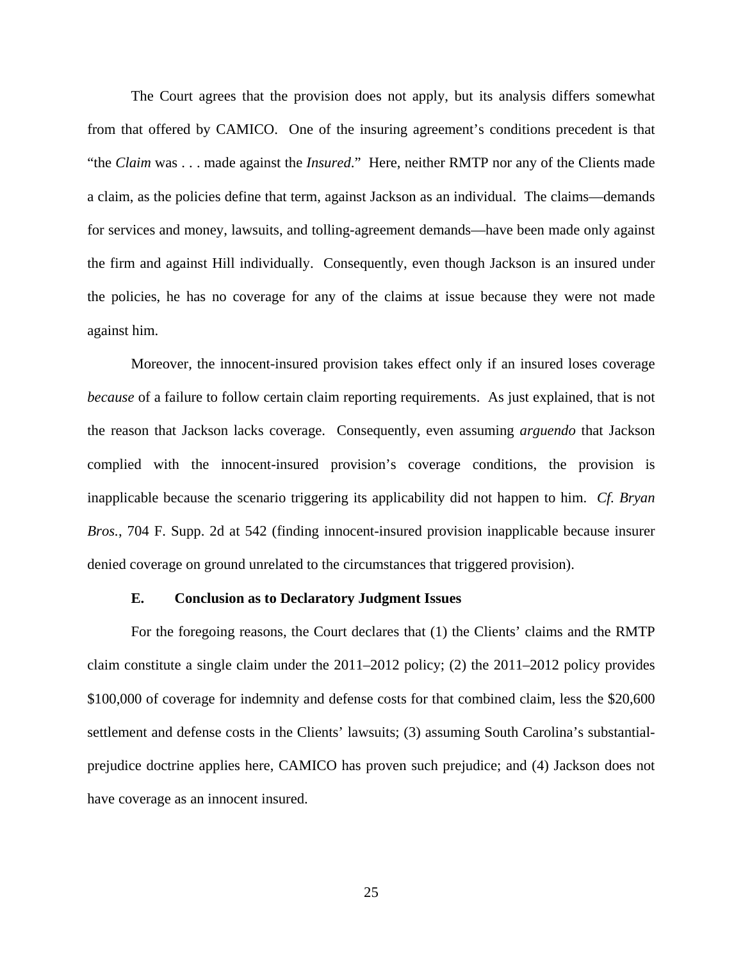The Court agrees that the provision does not apply, but its analysis differs somewhat from that offered by CAMICO. One of the insuring agreement's conditions precedent is that "the *Claim* was . . . made against the *Insured*." Here, neither RMTP nor any of the Clients made a claim, as the policies define that term, against Jackson as an individual. The claims—demands for services and money, lawsuits, and tolling-agreement demands—have been made only against the firm and against Hill individually. Consequently, even though Jackson is an insured under the policies, he has no coverage for any of the claims at issue because they were not made against him.

Moreover, the innocent-insured provision takes effect only if an insured loses coverage *because* of a failure to follow certain claim reporting requirements. As just explained, that is not the reason that Jackson lacks coverage. Consequently, even assuming *arguendo* that Jackson complied with the innocent-insured provision's coverage conditions, the provision is inapplicable because the scenario triggering its applicability did not happen to him. *Cf. Bryan Bros.*, 704 F. Supp. 2d at 542 (finding innocent-insured provision inapplicable because insurer denied coverage on ground unrelated to the circumstances that triggered provision).

#### **E. Conclusion as to Declaratory Judgment Issues**

For the foregoing reasons, the Court declares that (1) the Clients' claims and the RMTP claim constitute a single claim under the 2011–2012 policy; (2) the 2011–2012 policy provides \$100,000 of coverage for indemnity and defense costs for that combined claim, less the \$20,600 settlement and defense costs in the Clients' lawsuits; (3) assuming South Carolina's substantialprejudice doctrine applies here, CAMICO has proven such prejudice; and (4) Jackson does not have coverage as an innocent insured.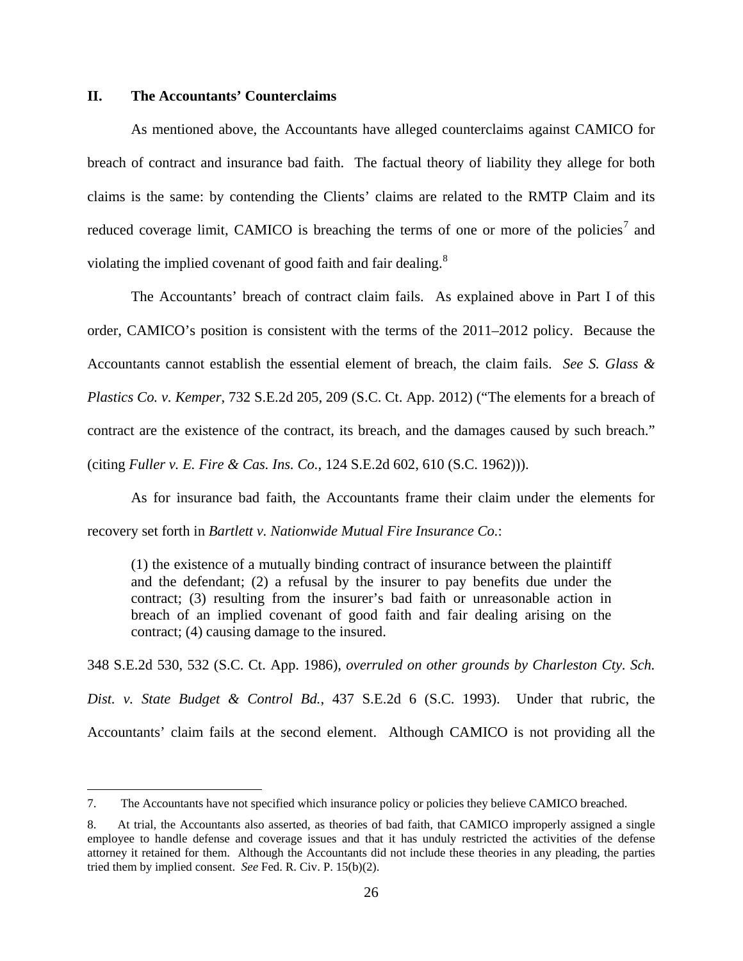### **II. The Accountants' Counterclaims**

 $\overline{a}$ 

As mentioned above, the Accountants have alleged counterclaims against CAMICO for breach of contract and insurance bad faith. The factual theory of liability they allege for both claims is the same: by contending the Clients' claims are related to the RMTP Claim and its reduced coverage limit, CAMICO is breaching the terms of one or more of the policies<sup>[7](#page-25-0)</sup> and violating the implied covenant of good faith and fair dealing.<sup>[8](#page-25-1)</sup>

The Accountants' breach of contract claim fails. As explained above in Part I of this order, CAMICO's position is consistent with the terms of the 2011–2012 policy. Because the Accountants cannot establish the essential element of breach, the claim fails. *See S. Glass & Plastics Co. v. Kemper*, 732 S.E.2d 205, 209 (S.C. Ct. App. 2012) ("The elements for a breach of contract are the existence of the contract, its breach, and the damages caused by such breach." (citing *Fuller v. E. Fire & Cas. Ins. Co.*, 124 S.E.2d 602, 610 (S.C. 1962))).

As for insurance bad faith, the Accountants frame their claim under the elements for recovery set forth in *Bartlett v. Nationwide Mutual Fire Insurance Co.*:

(1) the existence of a mutually binding contract of insurance between the plaintiff and the defendant; (2) a refusal by the insurer to pay benefits due under the contract; (3) resulting from the insurer's bad faith or unreasonable action in breach of an implied covenant of good faith and fair dealing arising on the contract; (4) causing damage to the insured.

348 S.E.2d 530, 532 (S.C. Ct. App. 1986), *overruled on other grounds by Charleston Cty. Sch. Dist. v. State Budget & Control Bd.*, 437 S.E.2d 6 (S.C. 1993). Under that rubric, the Accountants' claim fails at the second element. Although CAMICO is not providing all the

<span id="page-25-0"></span><sup>7.</sup> The Accountants have not specified which insurance policy or policies they believe CAMICO breached.

<span id="page-25-1"></span><sup>8.</sup> At trial, the Accountants also asserted, as theories of bad faith, that CAMICO improperly assigned a single employee to handle defense and coverage issues and that it has unduly restricted the activities of the defense attorney it retained for them. Although the Accountants did not include these theories in any pleading, the parties tried them by implied consent. *See* Fed. R. Civ. P. 15(b)(2).